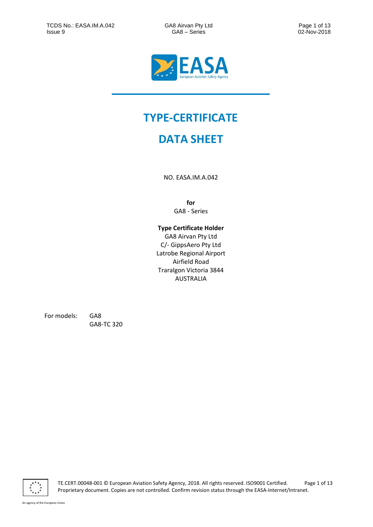

# **TYPE-CERTIFICATE**

# **DATA SHEET**

NO. EASA.IM.A.042

**for** GA8 - Series

### **Type Certificate Holder**

GA8 Airvan Pty Ltd C/- GippsAero Pty Ltd Latrobe Regional Airport Airfield Road Traralgon Victoria 3844 AUSTRALIA

For models: GA8

GA8-TC 320



TE.CERT.00048-001 © European Aviation Safety Agency, 2018. All rights reserved. ISO9001 Certified. Page 1 of 13 Proprietary document. Copies are not controlled. Confirm revision status through the EASA-Internet/Intranet.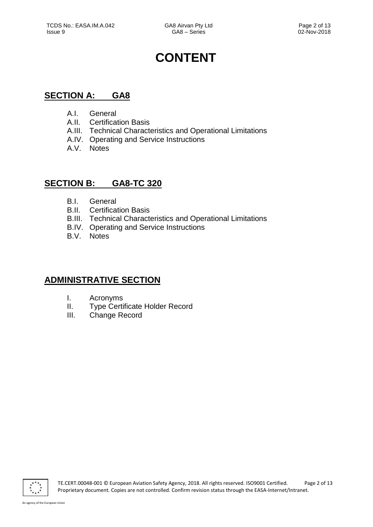# **CONTENT**

# **SECTION A: GA8**

- A.I. General
- A.II. Certification Basis
- A.III. Technical Characteristics and Operational Limitations
- A.IV. Operating and Service Instructions
- A.V. Notes

# **SECTION B: GA8-TC 320**

- B.I. General
- B.II. Certification Basis
- B.III. Technical Characteristics and Operational Limitations
- B.IV. Operating and Service Instructions
- B.V. Notes

# **ADMINISTRATIVE SECTION**

- I. Acronyms
- II. Type Certificate Holder Record
- III. Change Record

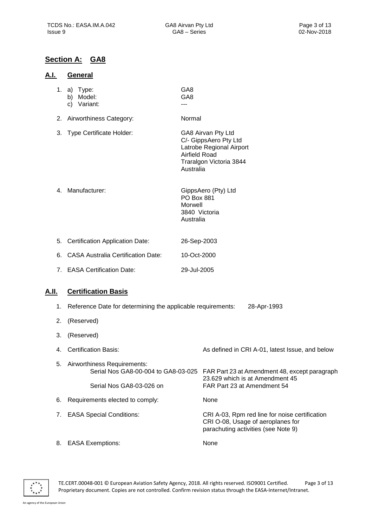# **Section A: GA8**

#### **A.I. General**

1. a) Type: GA8

| $a)$ lype.                  | ◡◠◡             |
|-----------------------------|-----------------|
| b) Model:                   | GA <sub>8</sub> |
| $\mathcal{N} = \mathcal{N}$ |                 |

c) Variant: ---

2. Airworthiness Category: Normal

- 3. Type Certificate Holder: GA8 Airvan Pty Ltd C/- GippsAero Pty Ltd Latrobe Regional Airport Airfield Road Traralgon Victoria 3844 Australia
- 4. Manufacturer: GippsAero (Pty) Ltd PO Box 881 Morwell 3840 Victoria Australia
- 5. Certification Application Date: 26-Sep-2003 6. CASA Australia Certification Date: 10-Oct-2000
- 7. EASA Certification Date: 29-Jul-2005

## **A.II. Certification Basis**

- 1. Reference Date for determining the applicable requirements: 28-Apr-1993
- 2. (Reserved)
- 3. (Reserved)
- 4. Certification Basis: As defined in CRI A-01, latest Issue, and below 5. Airworthiness Requirements: FAR Part 23 at Amendment 48, except paragraph 23.629 which is at Amendment 45 Serial Nos GA8-03-026 on FAR Part 23 at Amendment 54 6. Requirements elected to comply: None 7. EASA Special Conditions: CRI A-03, Rpm red line for noise certification CRI O-08, Usage of aeroplanes for parachuting activities (see Note 9)
- 8. EASA Exemptions: None



TE.CERT.00048-001 © European Aviation Safety Agency, 2018. All rights reserved. ISO9001 Certified. Page 3 of 13 Proprietary document. Copies are not controlled. Confirm revision status through the EASA-Internet/Intranet.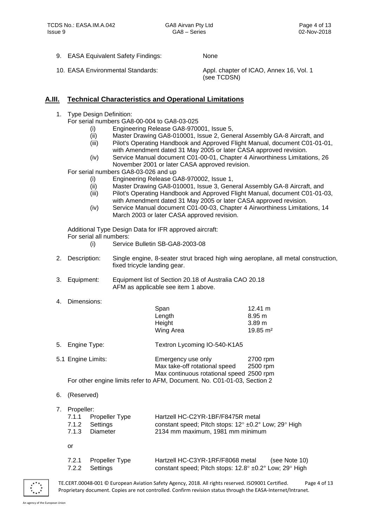9. EASA Equivalent Safety Findings: None

10. EASA Environmental Standards: Appl. chapter of ICAO, Annex 16, Vol. 1 (see TCDSN)

### **A.III. Technical Characteristics and Operational Limitations**

1. Type Design Definition:

For serial numbers GA8-00-004 to GA8-03-025

- (i) Engineering Release GA8-970001, Issue 5,
- (ii) Master Drawing GA8-010001, Issue 2, General Assembly GA-8 Aircraft, and
- (iii) Pilot's Operating Handbook and Approved Flight Manual, document C01-01-01, with Amendment dated 31 May 2005 or later CASA approved revision.
- (iv) Service Manual document C01-00-01, Chapter 4 Airworthiness Limitations, 26 November 2001 or later CASA approved revision.

For serial numbers GA8-03-026 and up

- (i) Engineering Release GA8-970002, Issue 1,
- (ii) Master Drawing GA8-010001, Issue 3, General Assembly GA-8 Aircraft, and
- (iii) Pilot's Operating Handbook and Approved Flight Manual, document C01-01-03, with Amendment dated 31 May 2005 or later CASA approved revision.
- (iv) Service Manual document C01-00-03, Chapter 4 Airworthiness Limitations, 14 March 2003 or later CASA approved revision.

Additional Type Design Data for IFR approved aircraft: For serial all numbers:

- (i) Service Bulletin SB-GA8-2003-08
- 2. Description: Single engine, 8-seater strut braced high wing aeroplane, all metal construction, fixed tricycle landing gear.
- 3. Equipment: Equipment list of Section 20.18 of Australia CAO 20.18 AFM as applicable see item 1 above.
- 4. Dimensions:

|                                                                          |                    | Span                                     | 12.41 m             |
|--------------------------------------------------------------------------|--------------------|------------------------------------------|---------------------|
|                                                                          |                    | Length                                   | $8.95 \text{ m}$    |
|                                                                          |                    | Height                                   | 3.89 <sub>m</sub>   |
|                                                                          |                    | Wing Area                                | $19.85 \text{ m}^2$ |
| 5.                                                                       | Engine Type:       | Textron Lycoming IO-540-K1A5             |                     |
|                                                                          | 5.1 Engine Limits: | Emergency use only                       | 2700 rpm            |
|                                                                          |                    | Max take-off rotational speed            | 2500 rpm            |
|                                                                          |                    | Max continuous rotational speed 2500 rpm |                     |
| For other engine limits refer to AFM, Document. No. C01-01-03, Section 2 |                    |                                          |                     |

- 6. (Reserved)
- 7. Propeller:

|      | 7.1.1 Propeller Type | Hartzell HC-C2YR-1BF/F8475R metal                                      |
|------|----------------------|------------------------------------------------------------------------|
|      | 7.1.2 Settings       | constant speed; Pitch stops: $12^{\circ}$ ±0.2° Low; $29^{\circ}$ High |
|      | 7.1.3 Diameter       | 2134 mm maximum, 1981 mm minimum                                       |
|      |                      |                                                                        |
| - or |                      |                                                                        |

7.2.1 Propeller Type Hartzell HC-C3YR-1RF/F8068 metal (see Note 10) 7.2.2 Settings constant speed; Pitch stops: 12.8° ±0.2° Low; 29° High



TE.CERT.00048-001 © European Aviation Safety Agency, 2018. All rights reserved. ISO9001 Certified. Page 4 of 13 Proprietary document. Copies are not controlled. Confirm revision status through the EASA-Internet/Intranet.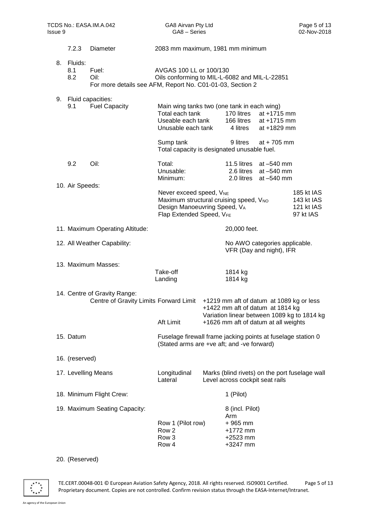| TCDS No.: EASA.IM.A.042<br>Issue 9 |                       | GA8 Airvan Pty Ltd<br>GA8 - Series                                                                              |                                                                                                                                                       | Page 5 of 13<br>02-Nov-2018 |                                                                           |                                                                                                                         |                                                     |
|------------------------------------|-----------------------|-----------------------------------------------------------------------------------------------------------------|-------------------------------------------------------------------------------------------------------------------------------------------------------|-----------------------------|---------------------------------------------------------------------------|-------------------------------------------------------------------------------------------------------------------------|-----------------------------------------------------|
|                                    | 7.2.3                 | Diameter                                                                                                        | 2083 mm maximum, 1981 mm minimum                                                                                                                      |                             |                                                                           |                                                                                                                         |                                                     |
| 8.                                 | Fluids:<br>8.1<br>8.2 | Fuel:<br>Oil:<br>For more details see AFM, Report No. C01-01-03, Section 2                                      | AVGAS 100 LL or 100/130<br>Oils conforming to MIL-L-6082 and MIL-L-22851                                                                              |                             |                                                                           |                                                                                                                         |                                                     |
|                                    | 9.1                   | 9. Fluid capacities:<br><b>Fuel Capacity</b>                                                                    | Main wing tanks two (one tank in each wing)<br>Total each tank<br>Useable each tank<br>Unusable each tank<br>Sump tank                                |                             | 170 litres<br>166 litres<br>4 litres<br>9 litres                          | at +1715 mm<br>at +1715 mm<br>at +1829 mm<br>at $+705$ mm                                                               |                                                     |
|                                    |                       |                                                                                                                 | Total capacity is designated unusable fuel.                                                                                                           |                             |                                                                           |                                                                                                                         |                                                     |
|                                    | 9.2                   | Oil:                                                                                                            | Total:<br>Unusable:<br>Minimum:                                                                                                                       |                             | 11.5 litres<br>2.6 litres<br>2.0 litres                                   | at $-540$ mm<br>at -540 mm<br>at -540 mm                                                                                |                                                     |
|                                    | 10. Air Speeds:       |                                                                                                                 | Never exceed speed, V <sub>NE</sub><br>Maximum structural cruising speed, V <sub>NO</sub><br>Design Manoeuvring Speed, VA<br>Flap Extended Speed, VFE |                             |                                                                           |                                                                                                                         | 185 kt IAS<br>143 kt IAS<br>121 kt IAS<br>97 kt IAS |
|                                    |                       | 11. Maximum Operating Altitude:                                                                                 |                                                                                                                                                       |                             | 20,000 feet.                                                              |                                                                                                                         |                                                     |
|                                    |                       | 12. All Weather Capability:                                                                                     |                                                                                                                                                       |                             |                                                                           | No AWO categories applicable.<br>VFR (Day and night), IFR                                                               |                                                     |
|                                    |                       | 13. Maximum Masses:                                                                                             | Take-off<br>Landing                                                                                                                                   |                             | 1814 kg<br>1814 kg                                                        |                                                                                                                         |                                                     |
|                                    |                       | 14. Centre of Gravity Range:<br>Centre of Gravity Limits Forward Limit +1219 mm aft of datum at 1089 kg or less | Aft Limit                                                                                                                                             |                             |                                                                           | +1422 mm aft of datum at 1814 kg<br>Variation linear between 1089 kg to 1814 kg<br>+1626 mm aft of datum at all weights |                                                     |
|                                    | 15. Datum             |                                                                                                                 | Fuselage firewall frame jacking points at fuselage station 0<br>(Stated arms are +ve aft; and -ve forward)                                            |                             |                                                                           |                                                                                                                         |                                                     |
|                                    | 16. (reserved)        |                                                                                                                 |                                                                                                                                                       |                             |                                                                           |                                                                                                                         |                                                     |
|                                    |                       | 17. Levelling Means                                                                                             | Longitudinal<br>Lateral                                                                                                                               |                             | Level across cockpit seat rails                                           |                                                                                                                         | Marks (blind rivets) on the port fuselage wall      |
|                                    |                       | 18. Minimum Flight Crew:                                                                                        |                                                                                                                                                       |                             | 1 (Pilot)                                                                 |                                                                                                                         |                                                     |
|                                    |                       | 19. Maximum Seating Capacity:                                                                                   | Row 1 (Pilot row)<br>Row <sub>2</sub><br>Row <sub>3</sub><br>Row 4                                                                                    |                             | 8 (incl. Pilot)<br>Arm<br>$+965$ mm<br>+1772 mm<br>$+2523$ mm<br>+3247 mm |                                                                                                                         |                                                     |
|                                    | 20. (Reserved)        |                                                                                                                 |                                                                                                                                                       |                             |                                                                           |                                                                                                                         |                                                     |



TE.CERT.00048-001 © European Aviation Safety Agency, 2018. All rights reserved. ISO9001 Certified. Page 5 of 13 Proprietary document. Copies are not controlled. Confirm revision status through the EASA-Internet/Intranet.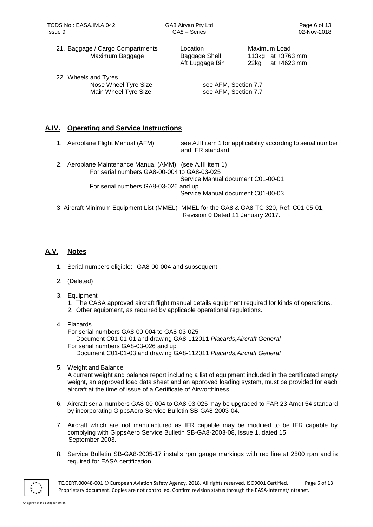21. Baggage / Cargo Compartments Location Maximum Load Maximum Baggage Baggage Shelf 113kg at +3763 mm

22. Wheels and Tyres Nose Wheel Tyre Size see AFM, Section 7.7 Main Wheel Tyre Size see AFM, Section 7.7

Aft Luggage Bin 22kg at +4623 mm

## **A.IV. Operating and Service Instructions**

|    | 1. Aeroplane Flight Manual (AFM)                      | see A.III item 1 for applicability according to serial number<br>and IFR standard.                                            |
|----|-------------------------------------------------------|-------------------------------------------------------------------------------------------------------------------------------|
| 2. | Aeroplane Maintenance Manual (AMM) (see A.III item 1) |                                                                                                                               |
|    | For serial numbers GA8-00-004 to GA8-03-025           |                                                                                                                               |
|    |                                                       | Service Manual document C01-00-01                                                                                             |
|    | For serial numbers GA8-03-026 and up                  |                                                                                                                               |
|    |                                                       | Service Manual document C01-00-03                                                                                             |
|    |                                                       | 3. Aircraft Minimum Equipment List (MMEL) MMEL for the GA8 & GA8-TC 320, Ref: C01-05-01,<br>Revision 0 Dated 11 January 2017. |

## **A.V. Notes**

- 1. Serial numbers eligible: GA8-00-004 and subsequent
- 2. (Deleted)
- 3. Equipment
	- 1. The CASA approved aircraft flight manual details equipment required for kinds of operations.
	- 2. Other equipment, as required by applicable operational regulations.
- 4. Placards

For serial numbers GA8-00-004 to GA8-03-025 Document C01-01-01 and drawing GA8-112011 *Placards,Aircraft General* For serial numbers GA8-03-026 and up Document C01-01-03 and drawing GA8-112011 *Placards,Aircraft General*

5. Weight and Balance

A current weight and balance report including a list of equipment included in the certificated empty weight, an approved load data sheet and an approved loading system, must be provided for each aircraft at the time of issue of a Certificate of Airworthiness.

- 6. Aircraft serial numbers GA8-00-004 to GA8-03-025 may be upgraded to FAR 23 Amdt 54 standard by incorporating GippsAero Service Bulletin SB-GA8-2003-04.
- 7. Aircraft which are not manufactured as IFR capable may be modified to be IFR capable by complying with GippsAero Service Bulletin SB-GA8-2003-08, Issue 1, dated 15 September 2003.
- 8. Service Bulletin SB-GA8-2005-17 installs rpm gauge markings with red line at 2500 rpm and is required for EASA certification.



TE.CERT.00048-001 © European Aviation Safety Agency, 2018. All rights reserved. ISO9001 Certified. Page 6 of 13 Proprietary document. Copies are not controlled. Confirm revision status through the EASA-Internet/Intranet.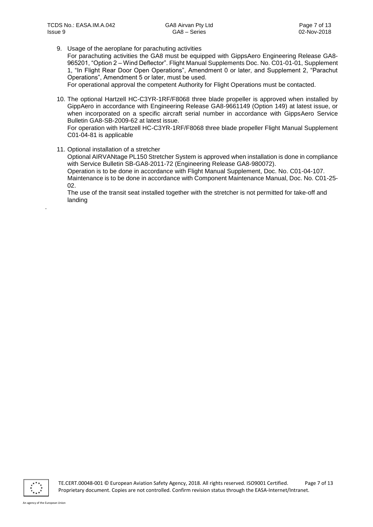9. Usage of the aeroplane for parachuting activities

For parachuting activities the GA8 must be equipped with GippsAero Engineering Release GA8- 965201, "Option 2 – Wind Deflector". Flight Manual Supplements Doc. No. C01-01-01, Supplement 1, "In Flight Rear Door Open Operations", Amendment 0 or later, and Supplement 2, "Parachut Operations", Amendment 5 or later, must be used.

For operational approval the competent Authority for Flight Operations must be contacted.

10. The optional Hartzell HC-C3YR-1RF/F8068 three blade propeller is approved when installed by GippAero in accordance with Engineering Release GA8-9661149 (Option 149) at latest issue, or when incorporated on a specific aircraft serial number in accordance with GippsAero Service Bulletin GA8-SB-2009-62 at latest issue.

For operation with Hartzell HC-C3YR-1RF/F8068 three blade propeller Flight Manual Supplement C01-04-81 is applicable

11. Optional installation of a stretcher

Optional AIRVANtage PL150 Stretcher System is approved when installation is done in compliance with Service Bulletin SB-GA8-2011-72 (Engineering Release GA8-980072). Operation is to be done in accordance with Flight Manual Supplement, Doc. No. C01-04-107. Maintenance is to be done in accordance with Component Maintenance Manual, Doc. No. C01-25- 02.

The use of the transit seat installed together with the stretcher is not permitted for take-off and landing



.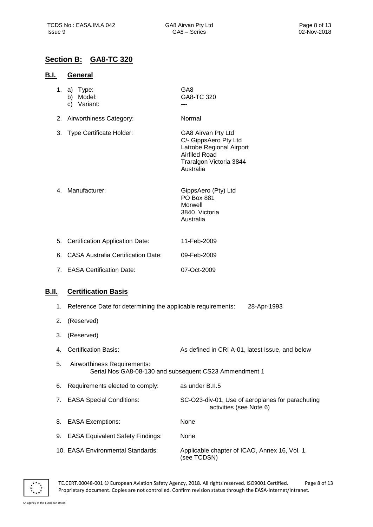## **Section B: GA8-TC 320**

#### **B.I. General**

- 1. a) Type: GA8
	- b) Model: GA8-TC 320
	- c) Variant: ---

2. Airworthiness Category: Normal

- 3. Type Certificate Holder: GA8 Airvan Pty Ltd C/- GippsAero Pty Ltd Latrobe Regional Airport Airfiled Road Traralgon Victoria 3844 Australia
- 4. Manufacturer: GippsAero (Pty) Ltd PO Box 881 Morwell 3840 Victoria Australia
- 5. Certification Application Date: 11-Feb-2009 6. CASA Australia Certification Date: 09-Feb-2009
- 7. EASA Certification Date: 07-Oct-2009

## **B.II. Certification Basis**

- 1. Reference Date for determining the applicable requirements: 28-Apr-1993 2. (Reserved) 3. (Reserved) 4. Certification Basis: As defined in CRI A-01, latest Issue, and below 5. Airworthiness Requirements: Serial Nos GA8-08-130 and subsequent CS23 Ammendment 1 6. Requirements elected to comply: as under B.II.5 7. EASA Special Conditions: SC-O23-div-01, Use of aeroplanes for parachuting activities (see Note 6) 8. EASA Exemptions: None 9. EASA Equivalent Safety Findings: None
- 10. EASA Environmental Standards: Applicable chapter of ICAO, Annex 16, Vol. 1, (see TCDSN)



TE.CERT.00048-001 © European Aviation Safety Agency, 2018. All rights reserved. ISO9001 Certified. Page 8 of 13 Proprietary document. Copies are not controlled. Confirm revision status through the EASA-Internet/Intranet.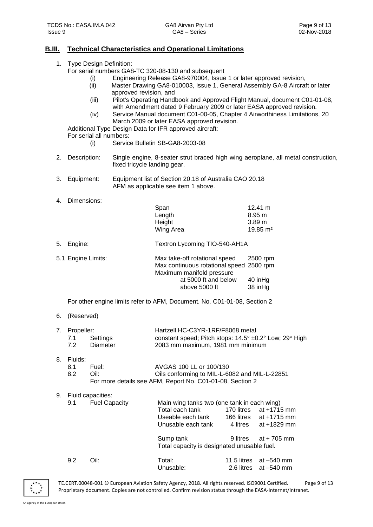#### **B.III. Technical Characteristics and Operational Limitations**

| 1. |  |  | Type Design Definition: |
|----|--|--|-------------------------|
|----|--|--|-------------------------|

For serial numbers GA8-TC 320-08-130 and subsequent

- (i) Engineering Release GA8-970004, Issue 1 or later approved revision,
- (ii) Master Drawing GA8-010003, Issue 1, General Assembly GA-8 Aircraft or later approved revision, and
- (iii) Pilot's Operating Handbook and Approved Flight Manual, document C01-01-08, with Amendment dated 9 February 2009 or later EASA approved revision.
- (iv) Service Manual document C01-00-05, Chapter 4 Airworthiness Limitations, 20 March 2009 or later EASA approved revision.

Additional Type Design Data for IFR approved aircraft:

- For serial all numbers:
	- (i) Service Bulletin SB-GA8-2003-08
- 2. Description: Single engine, 8-seater strut braced high wing aeroplane, all metal construction, fixed tricycle landing gear.
- 3. Equipment: Equipment list of Section 20.18 of Australia CAO 20.18 AFM as applicable see item 1 above.
- 4. Dimensions:

|    |                    | Span                                     | $12.41 \text{ m}$   |
|----|--------------------|------------------------------------------|---------------------|
|    |                    | Length                                   | $8.95 \text{ m}$    |
|    |                    | Height                                   | 3.89 <sub>m</sub>   |
|    |                    | Wing Area                                | $19.85 \text{ m}^2$ |
| 5. | Engine:            | Textron Lycoming TIO-540-AH1A            |                     |
|    | 5.1 Engine Limits: | Max take-off rotational speed            | 2500 rpm            |
|    |                    | Max continuous rotational speed 2500 rpm |                     |
|    |                    | Maximum manifold pressure                |                     |
|    |                    | at 5000 ft and below                     | 40 in Hg            |
|    |                    | above 5000 ft                            | 38 inHa             |

For other engine limits refer to AFM, Document. No. C01-01-08, Section 2

6. (Reserved)

| 7. Propeller: |              | Hartzell HC-C3YR-1RF/F8068 metal                                |  |
|---------------|--------------|-----------------------------------------------------------------|--|
|               | 7.1 Settings | constant speed; Pitch stops: $14.5^{\circ}$ ±0.2° Low; 29° High |  |
| 7.2           | Diameter     | 2083 mm maximum, 1981 mm minimum                                |  |

8. Fluids:

| -8.1 | Fuel: | AVGAS 100 LL or 100/130                                   |
|------|-------|-----------------------------------------------------------|
| 8.2  | Oil:  | Oils conforming to MIL-L-6082 and MIL-L-22851             |
|      |       | For more details see AFM, Report No. C01-01-08, Section 2 |

9. Fluid capacities:

|      | Total each tank      | 170 litres | at +1715 mm                                                                                |  |
|------|----------------------|------------|--------------------------------------------------------------------------------------------|--|
|      | Useable each tank    | 166 litres | at +1715 mm                                                                                |  |
|      | Unusable each tank   | 4 litres   | at $+1829$ mm                                                                              |  |
|      | Sump tank            | 9 litres   | at + 705 mm                                                                                |  |
|      |                      |            |                                                                                            |  |
| Oil: | Total:<br>Unusable:  |            | 11.5 litres $at -540$ mm<br>2.6 litres $at -540$ mm                                        |  |
|      | <b>Fuel Capacity</b> |            | Main wing tanks two (one tank in each wing)<br>Total capacity is designated unusable fuel. |  |



TE.CERT.00048-001 © European Aviation Safety Agency, 2018. All rights reserved. ISO9001 Certified. Page 9 of 13 Proprietary document. Copies are not controlled. Confirm revision status through the EASA-Internet/Intranet.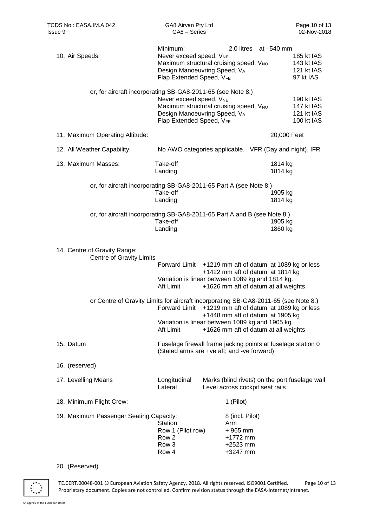| 10. Air Speeds:                                                                     | Minimum:<br>Never exceed speed, V <sub>NE</sub><br>Design Manoeuvring Speed, VA<br>Flap Extended Speed, VFE | 2.0 litres at -540 mm<br>Maximum structural cruising speed, V <sub>NO</sub>                                                  | 185 kt IAS<br>143 kt IAS<br>121 kt IAS<br>97 kt IAS          |
|-------------------------------------------------------------------------------------|-------------------------------------------------------------------------------------------------------------|------------------------------------------------------------------------------------------------------------------------------|--------------------------------------------------------------|
| or, for aircraft incorporating SB-GA8-2011-65 (see Note 8.)                         | Never exceed speed, V <sub>NE</sub><br>Design Manoeuvring Speed, VA<br>Flap Extended Speed, VFE             | Maximum structural cruising speed, V <sub>NO</sub>                                                                           | 190 kt IAS<br>147 kt IAS<br>121 kt IAS<br>100 kt IAS         |
| 11. Maximum Operating Altitude:                                                     |                                                                                                             |                                                                                                                              | 20,000 Feet                                                  |
| 12. All Weather Capability:                                                         |                                                                                                             |                                                                                                                              | No AWO categories applicable. VFR (Day and night), IFR       |
| 13. Maximum Masses:                                                                 | Take-off<br>Landing                                                                                         |                                                                                                                              | 1814 kg<br>1814 kg                                           |
| or, for aircraft incorporating SB-GA8-2011-65 Part A (see Note 8.)                  | Take-off<br>Landing                                                                                         |                                                                                                                              | 1905 kg<br>1814 kg                                           |
| or, for aircraft incorporating SB-GA8-2011-65 Part A and B (see Note 8.)            | Take-off<br>Landing                                                                                         |                                                                                                                              | 1905 kg<br>1860 kg                                           |
| 14. Centre of Gravity Range:<br>Centre of Gravity Limits                            |                                                                                                             |                                                                                                                              |                                                              |
|                                                                                     | Aft Limit                                                                                                   | +1422 mm aft of datum at 1814 kg<br>Variation is linear between 1089 kg and 1814 kg.<br>+1626 mm aft of datum at all weights | Forward Limit +1219 mm aft of datum at 1089 kg or less       |
| or Centre of Gravity Limits for aircraft incorporating SB-GA8-2011-65 (see Note 8.) | <b>Forward Limit</b><br>Aft Limit                                                                           | +1448 mm aft of datum at 1905 kg<br>Variation is linear between 1089 kg and 1905 kg.<br>+1626 mm aft of datum at all weights | +1219 mm aft of datum at 1089 kg or less                     |
| 15. Datum                                                                           |                                                                                                             | (Stated arms are +ve aft; and -ve forward)                                                                                   | Fuselage firewall frame jacking points at fuselage station 0 |
| 16. (reserved)                                                                      |                                                                                                             |                                                                                                                              |                                                              |
| 17. Levelling Means                                                                 | Longitudinal<br>Lateral                                                                                     | Level across cockpit seat rails                                                                                              | Marks (blind rivets) on the port fuselage wall               |
| 18. Minimum Flight Crew:                                                            |                                                                                                             | 1 (Pilot)                                                                                                                    |                                                              |
| 19. Maximum Passenger Seating Capacity:                                             | Station<br>Row 1 (Pilot row)<br>Row 2<br>Row 3<br>Row 4                                                     | 8 (incl. Pilot)<br>Arm<br>$+965$ mm<br>+1772 mm<br>+2523 mm<br>+3247 mm                                                      |                                                              |

#### 20. (Reserved)



TE.CERT.00048-001 © European Aviation Safety Agency, 2018. All rights reserved. ISO9001 Certified. Page 10 of 13 Proprietary document. Copies are not controlled. Confirm revision status through the EASA-Internet/Intranet.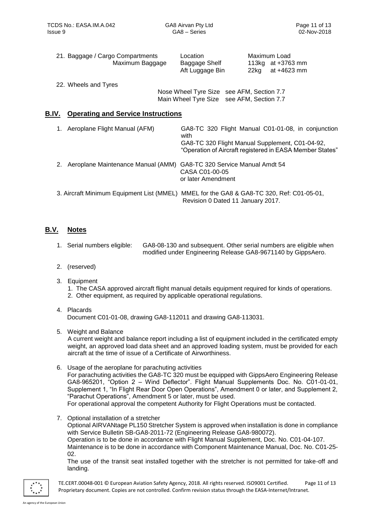|       | 21. Baggage / Cargo Compartments<br>Maximum Baggage | Location<br>Baggage Shelf<br>Aft Luggage Bin                                           | Maximum Load<br>113 $kg$ at $+3763$ mm<br>at +4623 mm<br>22kg                                                                                                     |
|-------|-----------------------------------------------------|----------------------------------------------------------------------------------------|-------------------------------------------------------------------------------------------------------------------------------------------------------------------|
|       | 22. Wheels and Tyres                                | Nose Wheel Tyre Size see AFM, Section 7.7<br>Main Wheel Tyre Size see AFM, Section 7.7 |                                                                                                                                                                   |
| B.IV. | <b>Operating and Service Instructions</b>           |                                                                                        |                                                                                                                                                                   |
| 1.    | Aeroplane Flight Manual (AFM)                       | with                                                                                   | GA8-TC 320 Flight Manual C01-01-08, in conjunction<br>GA8-TC 320 Flight Manual Supplement, C01-04-92,<br>"Operation of Aircraft registered in EASA Member States" |
| 2.    | Aeroplane Maintenance Manual (AMM)                  | GA8-TC 320 Service Manual Amdt 54<br>CASA C01-00-05<br>or later Amendment              |                                                                                                                                                                   |

| 3. Aircraft Minimum Equipment List (MMEL) MMEL for the GA8 & GA8-TC 320, Ref: C01-05-01, |                                   |  |
|------------------------------------------------------------------------------------------|-----------------------------------|--|
|                                                                                          | Revision 0 Dated 11 January 2017. |  |

## **B.V. Notes**

- 1. Serial numbers eligible: GA8-08-130 and subsequent. Other serial numbers are eligible when modified under Engineering Release GA8-9671140 by GippsAero.
- 2. (reserved)
- 3. Equipment
	- 1. The CASA approved aircraft flight manual details equipment required for kinds of operations.
	- 2. Other equipment, as required by applicable operational regulations.
- 4. Placards

Document C01-01-08, drawing GA8-112011 and drawing GA8-113031.

5. Weight and Balance

A current weight and balance report including a list of equipment included in the certificated empty weight, an approved load data sheet and an approved loading system, must be provided for each aircraft at the time of issue of a Certificate of Airworthiness.

- 6. Usage of the aeroplane for parachuting activities For parachuting activities the GA8-TC 320 must be equipped with GippsAero Engineering Release GA8-965201, "Option 2 – Wind Deflector". Flight Manual Supplements Doc. No. C01-01-01, Supplement 1, "In Flight Rear Door Open Operations", Amendment 0 or later, and Supplement 2, "Parachut Operations", Amendment 5 or later, must be used. For operational approval the competent Authority for Flight Operations must be contacted.
- 7. Optional installation of a stretcher Optional AIRVANtage PL150 Stretcher System is approved when installation is done in compliance with Service Bulletin SB-GA8-2011-72 (Engineering Release GA8-980072). Operation is to be done in accordance with Flight Manual Supplement, Doc. No. C01-04-107. Maintenance is to be done in accordance with Component Maintenance Manual, Doc. No. C01-25- 02.

The use of the transit seat installed together with the stretcher is not permitted for take-off and landing.



TE.CERT.00048-001 © European Aviation Safety Agency, 2018. All rights reserved. ISO9001 Certified. Page 11 of 13 Proprietary document. Copies are not controlled. Confirm revision status through the EASA-Internet/Intranet.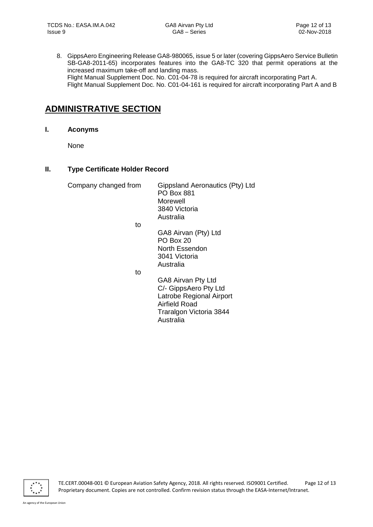8. GippsAero Engineering Release GA8-980065, issue 5 or later (covering GippsAero Service Bulletin SB-GA8-2011-65) incorporates features into the GA8-TC 320 that permit operations at the increased maximum take-off and landing mass. Flight Manual Supplement Doc. No. C01-04-78 is required for aircraft incorporating Part A. Flight Manual Supplement Doc. No. C01-04-161 is required for aircraft incorporating Part A and B

# **ADMINISTRATIVE SECTION**

**I. Aconyms**

None

#### **II. Type Certificate Holder Record**

Company changed from Gippsland Aeronautics (Pty) Ltd

PO Box 881 Morewell 3840 Victoria Australia

to

GA8 Airvan (Pty) Ltd PO Box 20 North Essendon 3041 Victoria Australia

to

GA8 Airvan Pty Ltd C/- GippsAero Pty Ltd Latrobe Regional Airport Airfield Road Traralgon Victoria 3844 Australia